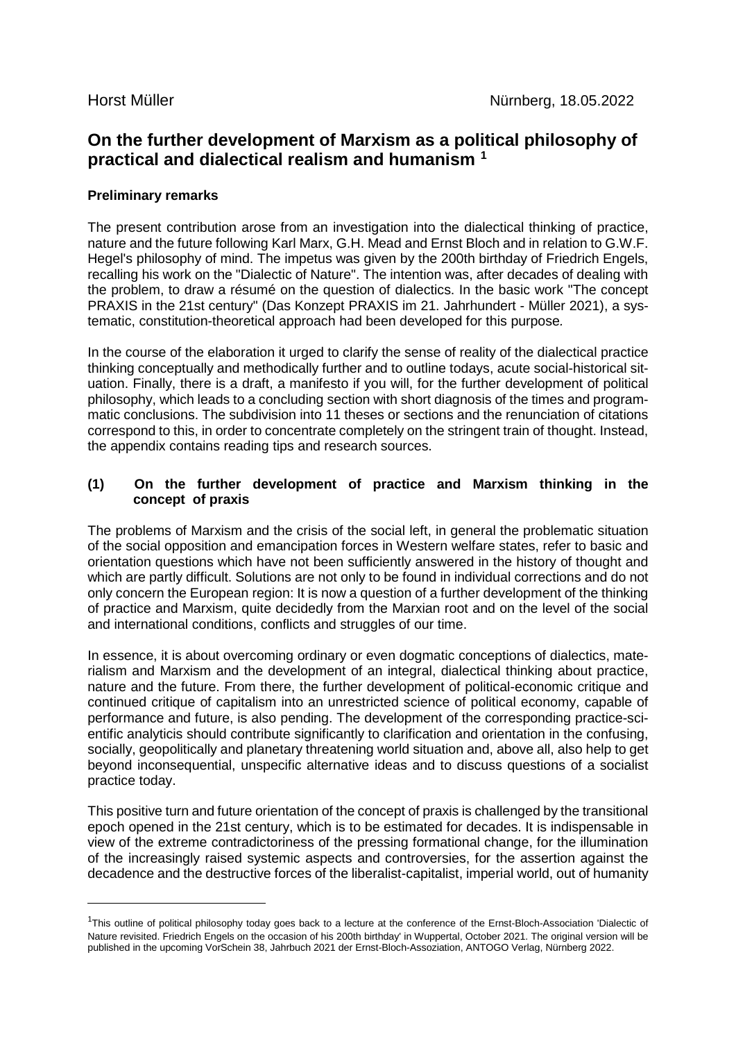$\overline{a}$ 

# **On the further development of Marxism as a political philosophy of practical and dialectical realism and humanism [1](#page-0-0)**

## **Preliminary remarks**

The present contribution arose from an investigation into the dialectical thinking of practice, nature and the future following Karl Marx, G.H. Mead and Ernst Bloch and in relation to G.W.F. Hegel's philosophy of mind. The impetus was given by the 200th birthday of Friedrich Engels, recalling his work on the "Dialectic of Nature". The intention was, after decades of dealing with the problem, to draw a résumé on the question of dialectics. In the basic work "The concept PRAXIS in the 21st century" (Das Konzept PRAXIS im 21. Jahrhundert - Müller 2021), a systematic, constitution-theoretical approach had been developed for this purpose*.*

In the course of the elaboration it urged to clarify the sense of reality of the dialectical practice thinking conceptually and methodically further and to outline todays, acute social-historical situation. Finally, there is a draft, a manifesto if you will, for the further development of political philosophy, which leads to a concluding section with short diagnosis of the times and programmatic conclusions. The subdivision into 11 theses or sections and the renunciation of citations correspond to this, in order to concentrate completely on the stringent train of thought. Instead, the appendix contains reading tips and research sources.

## **(1) On the further development of practice and Marxism thinking in the concept of praxis**

The problems of Marxism and the crisis of the social left, in general the problematic situation of the social opposition and emancipation forces in Western welfare states, refer to basic and orientation questions which have not been sufficiently answered in the history of thought and which are partly difficult. Solutions are not only to be found in individual corrections and do not only concern the European region: It is now a question of a further development of the thinking of practice and Marxism, quite decidedly from the Marxian root and on the level of the social and international conditions, conflicts and struggles of our time.

In essence, it is about overcoming ordinary or even dogmatic conceptions of dialectics, materialism and Marxism and the development of an integral, dialectical thinking about practice, nature and the future. From there, the further development of political-economic critique and continued critique of capitalism into an unrestricted science of political economy, capable of performance and future, is also pending. The development of the corresponding practice-scientific analyticis should contribute significantly to clarification and orientation in the confusing, socially, geopolitically and planetary threatening world situation and, above all, also help to get beyond inconsequential, unspecific alternative ideas and to discuss questions of a socialist practice today.

This positive turn and future orientation of the concept of praxis is challenged by the transitional epoch opened in the 21st century, which is to be estimated for decades. It is indispensable in view of the extreme contradictoriness of the pressing formational change, for the illumination of the increasingly raised systemic aspects and controversies, for the assertion against the decadence and the destructive forces of the liberalist-capitalist, imperial world, out of humanity

<span id="page-0-0"></span><sup>&</sup>lt;sup>1</sup>This outline of political philosophy today goes back to a lecture at the conference of the Ernst-Bloch-Association 'Dialectic of Nature revisited. Friedrich Engels on the occasion of his 200th birthday' in Wuppertal, October 2021. The original version will be published in the upcoming VorSchein 38, Jahrbuch 2021 der Ernst-Bloch-Assoziation, ANTOGO Verlag, Nürnberg 2022.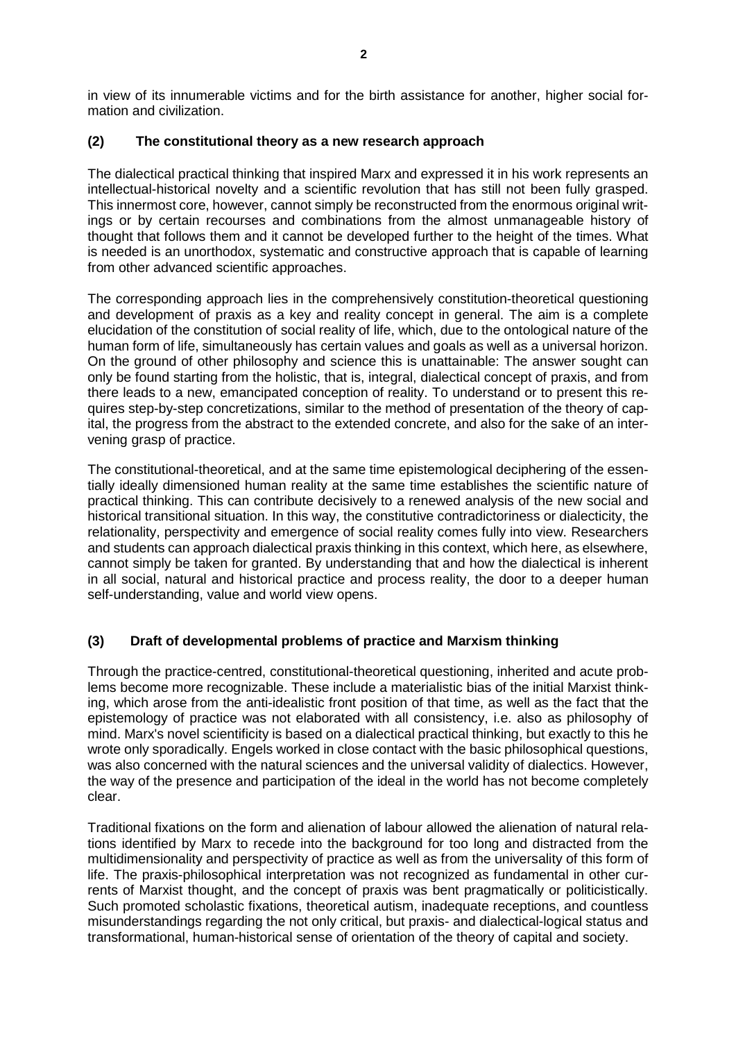in view of its innumerable victims and for the birth assistance for another, higher social formation and civilization.

## **(2) The constitutional theory as a new research approach**

The dialectical practical thinking that inspired Marx and expressed it in his work represents an intellectual-historical novelty and a scientific revolution that has still not been fully grasped. This innermost core, however, cannot simply be reconstructed from the enormous original writings or by certain recourses and combinations from the almost unmanageable history of thought that follows them and it cannot be developed further to the height of the times. What is needed is an unorthodox, systematic and constructive approach that is capable of learning from other advanced scientific approaches.

The corresponding approach lies in the comprehensively constitution-theoretical questioning and development of praxis as a key and reality concept in general. The aim is a complete elucidation of the constitution of social reality of life, which, due to the ontological nature of the human form of life, simultaneously has certain values and goals as well as a universal horizon. On the ground of other philosophy and science this is unattainable: The answer sought can only be found starting from the holistic, that is, integral, dialectical concept of praxis, and from there leads to a new, emancipated conception of reality. To understand or to present this requires step-by-step concretizations, similar to the method of presentation of the theory of capital, the progress from the abstract to the extended concrete, and also for the sake of an intervening grasp of practice.

The constitutional-theoretical, and at the same time epistemological deciphering of the essentially ideally dimensioned human reality at the same time establishes the scientific nature of practical thinking. This can contribute decisively to a renewed analysis of the new social and historical transitional situation. In this way, the constitutive contradictoriness or dialecticity, the relationality, perspectivity and emergence of social reality comes fully into view. Researchers and students can approach dialectical praxis thinking in this context, which here, as elsewhere, cannot simply be taken for granted. By understanding that and how the dialectical is inherent in all social, natural and historical practice and process reality, the door to a deeper human self-understanding, value and world view opens.

# **(3) Draft of developmental problems of practice and Marxism thinking**

Through the practice-centred, constitutional-theoretical questioning, inherited and acute problems become more recognizable. These include a materialistic bias of the initial Marxist thinking, which arose from the anti-idealistic front position of that time, as well as the fact that the epistemology of practice was not elaborated with all consistency, i.e. also as philosophy of mind. Marx's novel scientificity is based on a dialectical practical thinking, but exactly to this he wrote only sporadically. Engels worked in close contact with the basic philosophical questions, was also concerned with the natural sciences and the universal validity of dialectics. However, the way of the presence and participation of the ideal in the world has not become completely clear.

Traditional fixations on the form and alienation of labour allowed the alienation of natural relations identified by Marx to recede into the background for too long and distracted from the multidimensionality and perspectivity of practice as well as from the universality of this form of life. The praxis-philosophical interpretation was not recognized as fundamental in other currents of Marxist thought, and the concept of praxis was bent pragmatically or politicistically. Such promoted scholastic fixations, theoretical autism, inadequate receptions, and countless misunderstandings regarding the not only critical, but praxis- and dialectical-logical status and transformational, human-historical sense of orientation of the theory of capital and society.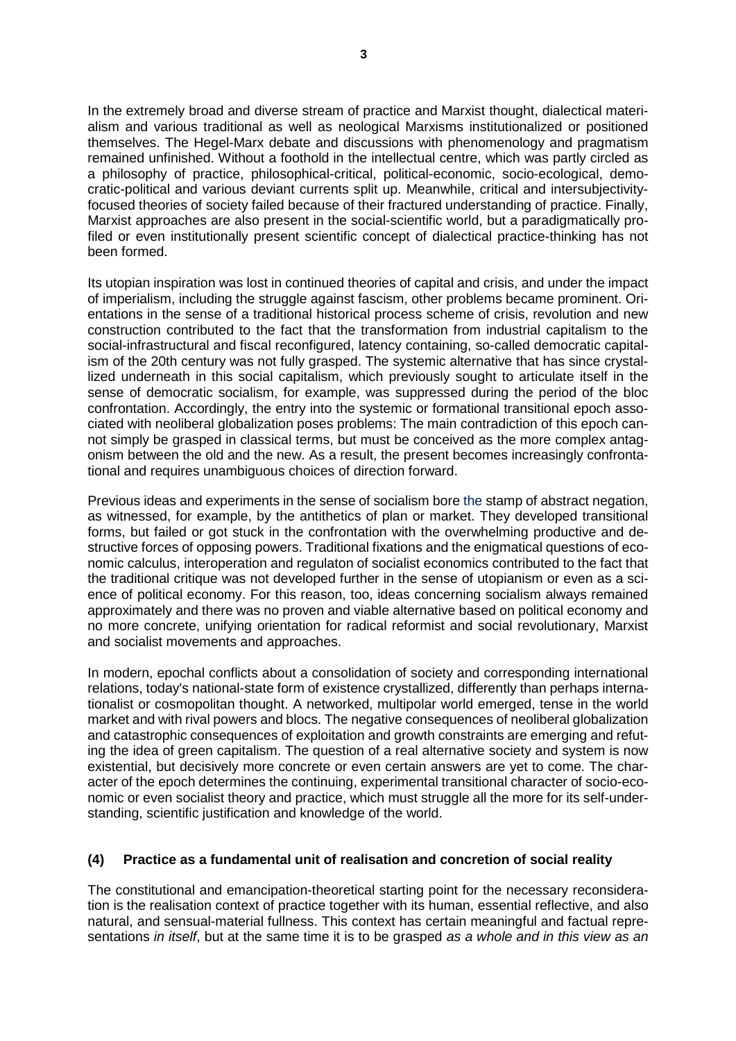In the extremely broad and diverse stream of practice and Marxist thought, dialectical materialism and various traditional as well as neological Marxisms institutionalized or positioned themselves. The Hegel-Marx debate and discussions with phenomenology and pragmatism remained unfinished. Without a foothold in the intellectual centre, which was partly circled as a philosophy of practice, philosophical-critical, political-economic, socio-ecological, democratic-political and various deviant currents split up. Meanwhile, critical and intersubjectivityfocused theories of society failed because of their fractured understanding of practice. Finally, Marxist approaches are also present in the social-scientific world, but a paradigmatically profiled or even institutionally present scientific concept of dialectical practice-thinking has not been formed.

Its utopian inspiration was lost in continued theories of capital and crisis, and under the impact of imperialism, including the struggle against fascism, other problems became prominent. Orientations in the sense of a traditional historical process scheme of crisis, revolution and new construction contributed to the fact that the transformation from industrial capitalism to the social-infrastructural and fiscal reconfigured, latency containing, so-called democratic capitalism of the 20th century was not fully grasped. The systemic alternative that has since crystallized underneath in this social capitalism, which previously sought to articulate itself in the sense of democratic socialism, for example, was suppressed during the period of the bloc confrontation. Accordingly, the entry into the systemic or formational transitional epoch associated with neoliberal globalization poses problems: The main contradiction of this epoch cannot simply be grasped in classical terms, but must be conceived as the more complex antagonism between the old and the new. As a result, the present becomes increasingly confrontational and requires unambiguous choices of direction forward.

Previous ideas and experiments in the sense of socialism bore the stamp of abstract negation, as witnessed, for example, by the antithetics of plan or market. They developed transitional forms, but failed or got stuck in the confrontation with the overwhelming productive and destructive forces of opposing powers. Traditional fixations and the enigmatical questions of economic calculus, interoperation and regulaton of socialist economics contributed to the fact that the traditional critique was not developed further in the sense of utopianism or even as a science of political economy. For this reason, too, ideas concerning socialism always remained approximately and there was no proven and viable alternative based on political economy and no more concrete, unifying orientation for radical reformist and social revolutionary, Marxist and socialist movements and approaches.

In modern, epochal conflicts about a consolidation of society and corresponding international relations, today's national-state form of existence crystallized, differently than perhaps internationalist or cosmopolitan thought. A networked, multipolar world emerged, tense in the world market and with rival powers and blocs. The negative consequences of neoliberal globalization and catastrophic consequences of exploitation and growth constraints are emerging and refuting the idea of green capitalism. The question of a real alternative society and system is now existential, but decisively more concrete or even certain answers are yet to come. The character of the epoch determines the continuing, experimental transitional character of socio-economic or even socialist theory and practice, which must struggle all the more for its self-understanding, scientific justification and knowledge of the world.

## **(4) Practice as a fundamental unit of realisation and concretion of social reality**

The constitutional and emancipation-theoretical starting point for the necessary reconsideration is the realisation context of practice together with its human, essential reflective, and also natural, and sensual-material fullness. This context has certain meaningful and factual representations *in itself*, but at the same time it is to be grasped *as a whole and in this view as an*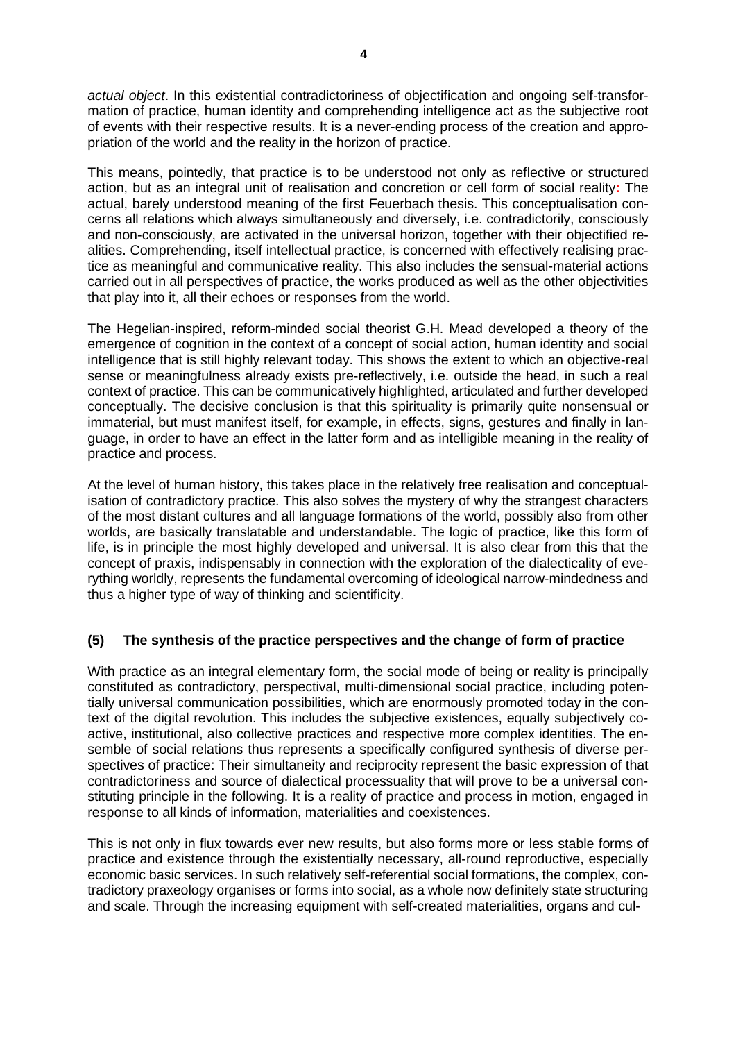*actual object*. In this existential contradictoriness of objectification and ongoing self-transformation of practice, human identity and comprehending intelligence act as the subjective root of events with their respective results. It is a never-ending process of the creation and appropriation of the world and the reality in the horizon of practice.

This means, pointedly, that practice is to be understood not only as reflective or structured action, but as an integral unit of realisation and concretion or cell form of social reality**:** The actual, barely understood meaning of the first Feuerbach thesis. This conceptualisation concerns all relations which always simultaneously and diversely, i.e. contradictorily, consciously and non-consciously, are activated in the universal horizon, together with their objectified realities. Comprehending, itself intellectual practice, is concerned with effectively realising practice as meaningful and communicative reality. This also includes the sensual-material actions carried out in all perspectives of practice, the works produced as well as the other objectivities that play into it, all their echoes or responses from the world.

The Hegelian-inspired, reform-minded social theorist G.H. Mead developed a theory of the emergence of cognition in the context of a concept of social action, human identity and social intelligence that is still highly relevant today. This shows the extent to which an objective-real sense or meaningfulness already exists pre-reflectively, i.e. outside the head, in such a real context of practice. This can be communicatively highlighted, articulated and further developed conceptually. The decisive conclusion is that this spirituality is primarily quite nonsensual or immaterial, but must manifest itself, for example, in effects, signs, gestures and finally in language, in order to have an effect in the latter form and as intelligible meaning in the reality of practice and process.

At the level of human history, this takes place in the relatively free realisation and conceptualisation of contradictory practice. This also solves the mystery of why the strangest characters of the most distant cultures and all language formations of the world, possibly also from other worlds, are basically translatable and understandable. The logic of practice, like this form of life, is in principle the most highly developed and universal. It is also clear from this that the concept of praxis, indispensably in connection with the exploration of the dialecticality of everything worldly, represents the fundamental overcoming of ideological narrow-mindedness and thus a higher type of way of thinking and scientificity.

## **(5) The synthesis of the practice perspectives and the change of form of practice**

With practice as an integral elementary form, the social mode of being or reality is principally constituted as contradictory, perspectival, multi-dimensional social practice, including potentially universal communication possibilities, which are enormously promoted today in the context of the digital revolution. This includes the subjective existences, equally subjectively coactive, institutional, also collective practices and respective more complex identities. The ensemble of social relations thus represents a specifically configured synthesis of diverse perspectives of practice: Their simultaneity and reciprocity represent the basic expression of that contradictoriness and source of dialectical processuality that will prove to be a universal constituting principle in the following. It is a reality of practice and process in motion, engaged in response to all kinds of information, materialities and coexistences.

This is not only in flux towards ever new results, but also forms more or less stable forms of practice and existence through the existentially necessary, all-round reproductive, especially economic basic services. In such relatively self-referential social formations, the complex, contradictory praxeology organises or forms into social, as a whole now definitely state structuring and scale. Through the increasing equipment with self-created materialities, organs and cul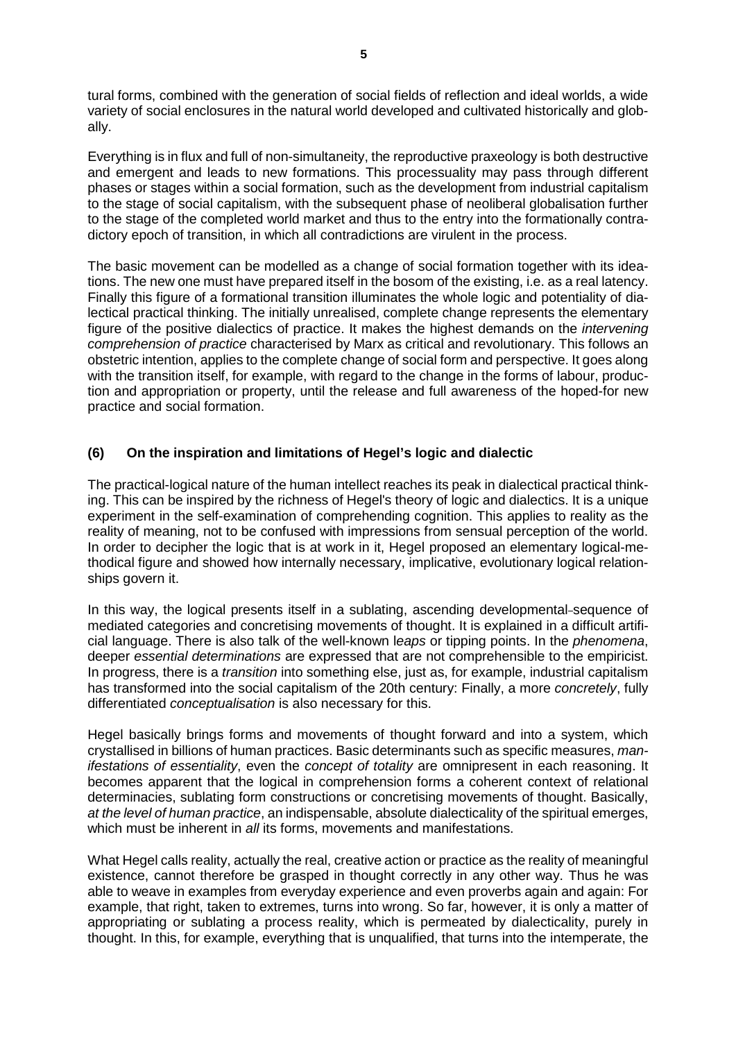tural forms, combined with the generation of social fields of reflection and ideal worlds, a wide variety of social enclosures in the natural world developed and cultivated historically and globally.

Everything is in flux and full of non-simultaneity, the reproductive praxeology is both destructive and emergent and leads to new formations. This processuality may pass through different phases or stages within a social formation, such as the development from industrial capitalism to the stage of social capitalism, with the subsequent phase of neoliberal globalisation further to the stage of the completed world market and thus to the entry into the formationally contradictory epoch of transition, in which all contradictions are virulent in the process.

The basic movement can be modelled as a change of social formation together with its ideations. The new one must have prepared itself in the bosom of the existing, i.e. as a real latency. Finally this figure of a formational transition illuminates the whole logic and potentiality of dialectical practical thinking. The initially unrealised, complete change represents the elementary figure of the positive dialectics of practice. It makes the highest demands on the *intervening comprehension of practice* characterised by Marx as critical and revolutionary. This follows an obstetric intention, applies to the complete change of social form and perspective. It goes along with the transition itself, for example, with regard to the change in the forms of labour, production and appropriation or property, until the release and full awareness of the hoped-for new practice and social formation.

## **(6) On the inspiration and limitations of Hegel's logic and dialectic**

The practical-logical nature of the human intellect reaches its peak in dialectical practical thinking. This can be inspired by the richness of Hegel's theory of logic and dialectics. It is a unique experiment in the self-examination of comprehending cognition. This applies to reality as the reality of meaning, not to be confused with impressions from sensual perception of the world. In order to decipher the logic that is at work in it, Hegel proposed an elementary logical-methodical figure and showed how internally necessary, implicative, evolutionary logical relationships govern it.

In this way, the logical presents itself in a sublating, ascending developmental-sequence of mediated categories and concretising movements of thought. It is explained in a difficult artificial language. There is also talk of the well-known l*eaps* or tipping points. In the *phenomena*, deeper *essential determinations* are expressed that are not comprehensible to the empiricist. In progress, there is a *transition* into something else, just as, for example, industrial capitalism has transformed into the social capitalism of the 20th century: Finally, a more *concretely*, fully differentiated *conceptualisation* is also necessary for this.

Hegel basically brings forms and movements of thought forward and into a system, which crystallised in billions of human practices. Basic determinants such as specific measures, *manifestations of essentiality*, even the *concept of totality* are omnipresent in each reasoning. It becomes apparent that the logical in comprehension forms a coherent context of relational determinacies, sublating form constructions or concretising movements of thought. Basically, *at the level of human practice*, an indispensable, absolute dialecticality of the spiritual emerges, which must be inherent in *all* its forms, movements and manifestations.

What Hegel calls reality, actually the real, creative action or practice as the reality of meaningful existence, cannot therefore be grasped in thought correctly in any other way. Thus he was able to weave in examples from everyday experience and even proverbs again and again: For example, that right, taken to extremes, turns into wrong. So far, however, it is only a matter of appropriating or sublating a process reality, which is permeated by dialecticality, purely in thought. In this, for example, everything that is unqualified, that turns into the intemperate, the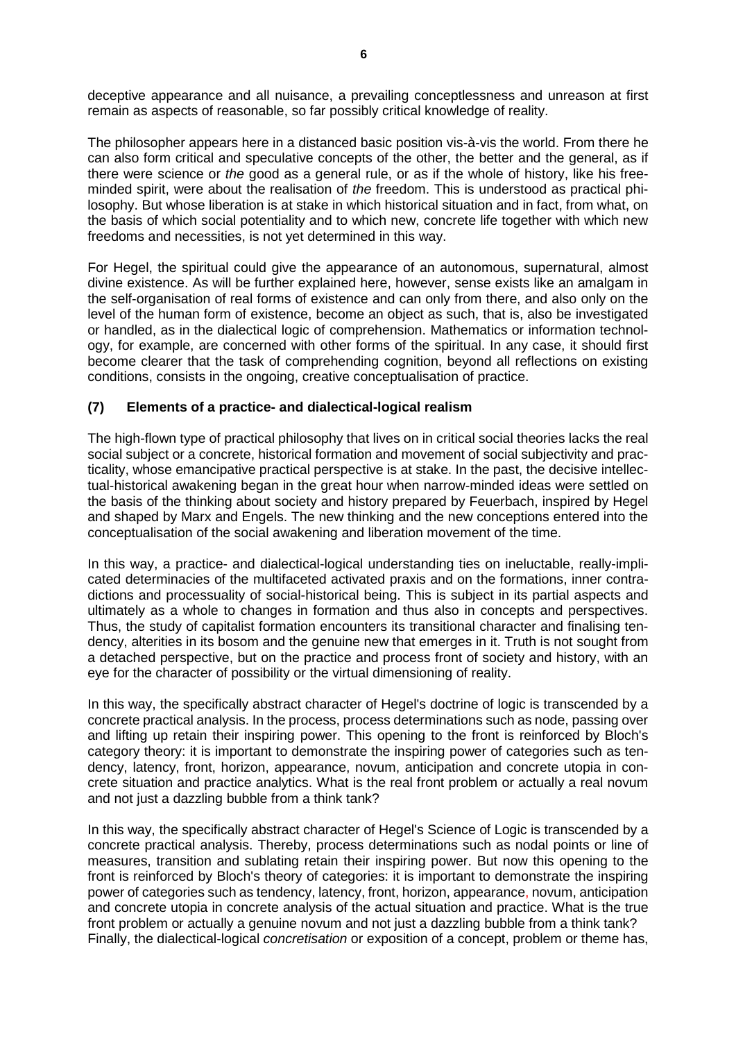deceptive appearance and all nuisance, a prevailing conceptlessness and unreason at first remain as aspects of reasonable, so far possibly critical knowledge of reality.

The philosopher appears here in a distanced basic position vis-à-vis the world. From there he can also form critical and speculative concepts of the other, the better and the general, as if there were science or *the* good as a general rule, or as if the whole of history, like his freeminded spirit, were about the realisation of *the* freedom. This is understood as practical philosophy. But whose liberation is at stake in which historical situation and in fact, from what, on the basis of which social potentiality and to which new, concrete life together with which new freedoms and necessities, is not yet determined in this way.

For Hegel, the spiritual could give the appearance of an autonomous, supernatural, almost divine existence. As will be further explained here, however, sense exists like an amalgam in the self-organisation of real forms of existence and can only from there, and also only on the level of the human form of existence, become an object as such, that is, also be investigated or handled, as in the dialectical logic of comprehension. Mathematics or information technology, for example, are concerned with other forms of the spiritual. In any case, it should first become clearer that the task of comprehending cognition, beyond all reflections on existing conditions, consists in the ongoing, creative conceptualisation of practice.

## **(7) Elements of a practice- and dialectical-logical realism**

The high-flown type of practical philosophy that lives on in critical social theories lacks the real social subject or a concrete, historical formation and movement of social subjectivity and practicality, whose emancipative practical perspective is at stake. In the past, the decisive intellectual-historical awakening began in the great hour when narrow-minded ideas were settled on the basis of the thinking about society and history prepared by Feuerbach, inspired by Hegel and shaped by Marx and Engels. The new thinking and the new conceptions entered into the conceptualisation of the social awakening and liberation movement of the time.

In this way, a practice- and dialectical-logical understanding ties on ineluctable, really-implicated determinacies of the multifaceted activated praxis and on the formations, inner contradictions and processuality of social-historical being. This is subject in its partial aspects and ultimately as a whole to changes in formation and thus also in concepts and perspectives. Thus, the study of capitalist formation encounters its transitional character and finalising tendency, alterities in its bosom and the genuine new that emerges in it. Truth is not sought from a detached perspective, but on the practice and process front of society and history, with an eye for the character of possibility or the virtual dimensioning of reality.

In this way, the specifically abstract character of Hegel's doctrine of logic is transcended by a concrete practical analysis. In the process, process determinations such as node, passing over and lifting up retain their inspiring power. This opening to the front is reinforced by Bloch's category theory: it is important to demonstrate the inspiring power of categories such as tendency, latency, front, horizon, appearance, novum, anticipation and concrete utopia in concrete situation and practice analytics. What is the real front problem or actually a real novum and not just a dazzling bubble from a think tank?

In this way, the specifically abstract character of Hegel's Science of Logic is transcended by a concrete practical analysis. Thereby, process determinations such as nodal points or line of measures, transition and sublating retain their inspiring power. But now this opening to the front is reinforced by Bloch's theory of categories: it is important to demonstrate the inspiring power of categories such as tendency, latency, front, horizon, appearance, novum, anticipation and concrete utopia in concrete analysis of the actual situation and practice. What is the true front problem or actually a genuine novum and not just a dazzling bubble from a think tank? Finally, the dialectical-logical *concretisation* or exposition of a concept, problem or theme has,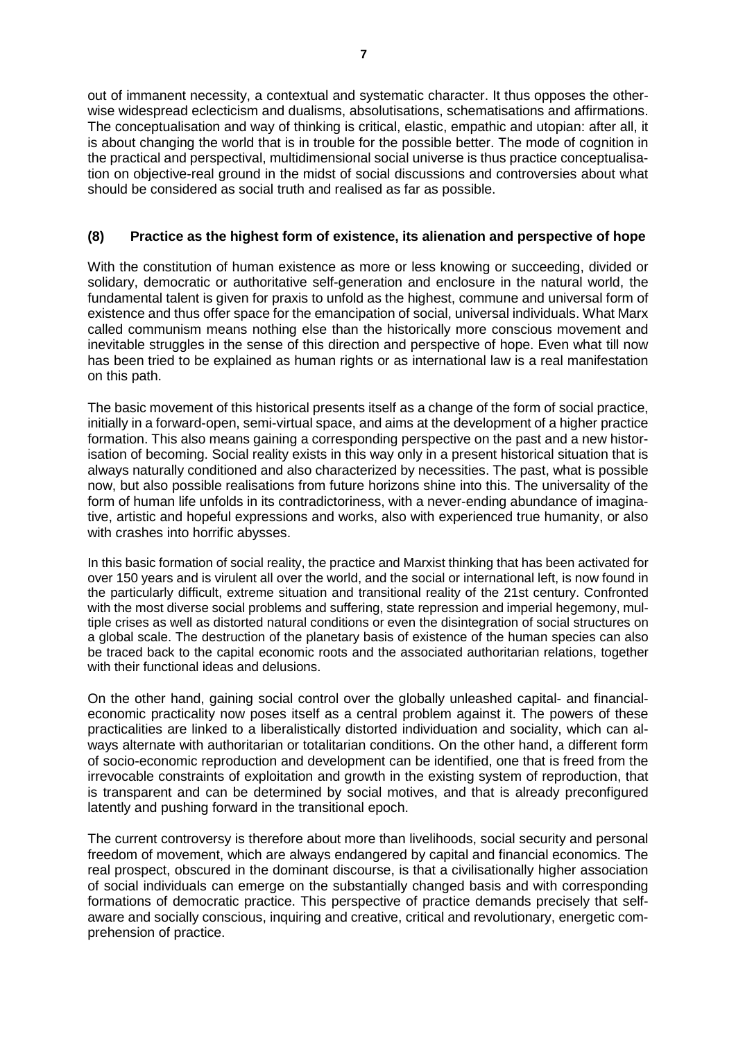out of immanent necessity, a contextual and systematic character. It thus opposes the otherwise widespread eclecticism and dualisms, absolutisations, schematisations and affirmations. The conceptualisation and way of thinking is critical, elastic, empathic and utopian: after all, it is about changing the world that is in trouble for the possible better. The mode of cognition in the practical and perspectival, multidimensional social universe is thus practice conceptualisation on objective-real ground in the midst of social discussions and controversies about what should be considered as social truth and realised as far as possible.

## **(8) Practice as the highest form of existence, its alienation and perspective of hope**

With the constitution of human existence as more or less knowing or succeeding, divided or solidary, democratic or authoritative self-generation and enclosure in the natural world, the fundamental talent is given for praxis to unfold as the highest, commune and universal form of existence and thus offer space for the emancipation of social, universal individuals. What Marx called communism means nothing else than the historically more conscious movement and inevitable struggles in the sense of this direction and perspective of hope. Even what till now has been tried to be explained as human rights or as international law is a real manifestation on this path.

The basic movement of this historical presents itself as a change of the form of social practice, initially in a forward-open, semi-virtual space, and aims at the development of a higher practice formation. This also means gaining a corresponding perspective on the past and a new historisation of becoming. Social reality exists in this way only in a present historical situation that is always naturally conditioned and also characterized by necessities. The past, what is possible now, but also possible realisations from future horizons shine into this. The universality of the form of human life unfolds in its contradictoriness, with a never-ending abundance of imaginative, artistic and hopeful expressions and works, also with experienced true humanity, or also with crashes into horrific abysses.

In this basic formation of social reality, the practice and Marxist thinking that has been activated for over 150 years and is virulent all over the world, and the social or international left, is now found in the particularly difficult, extreme situation and transitional reality of the 21st century. Confronted with the most diverse social problems and suffering, state repression and imperial hegemony, multiple crises as well as distorted natural conditions or even the disintegration of social structures on a global scale. The destruction of the planetary basis of existence of the human species can also be traced back to the capital economic roots and the associated authoritarian relations, together with their functional ideas and delusions.

On the other hand, gaining social control over the globally unleashed capital- and financialeconomic practicality now poses itself as a central problem against it. The powers of these practicalities are linked to a liberalistically distorted individuation and sociality, which can always alternate with authoritarian or totalitarian conditions. On the other hand, a different form of socio-economic reproduction and development can be identified, one that is freed from the irrevocable constraints of exploitation and growth in the existing system of reproduction, that is transparent and can be determined by social motives, and that is already preconfigured latently and pushing forward in the transitional epoch.

The current controversy is therefore about more than livelihoods, social security and personal freedom of movement, which are always endangered by capital and financial economics. The real prospect, obscured in the dominant discourse, is that a civilisationally higher association of social individuals can emerge on the substantially changed basis and with corresponding formations of democratic practice. This perspective of practice demands precisely that selfaware and socially conscious, inquiring and creative, critical and revolutionary, energetic comprehension of practice.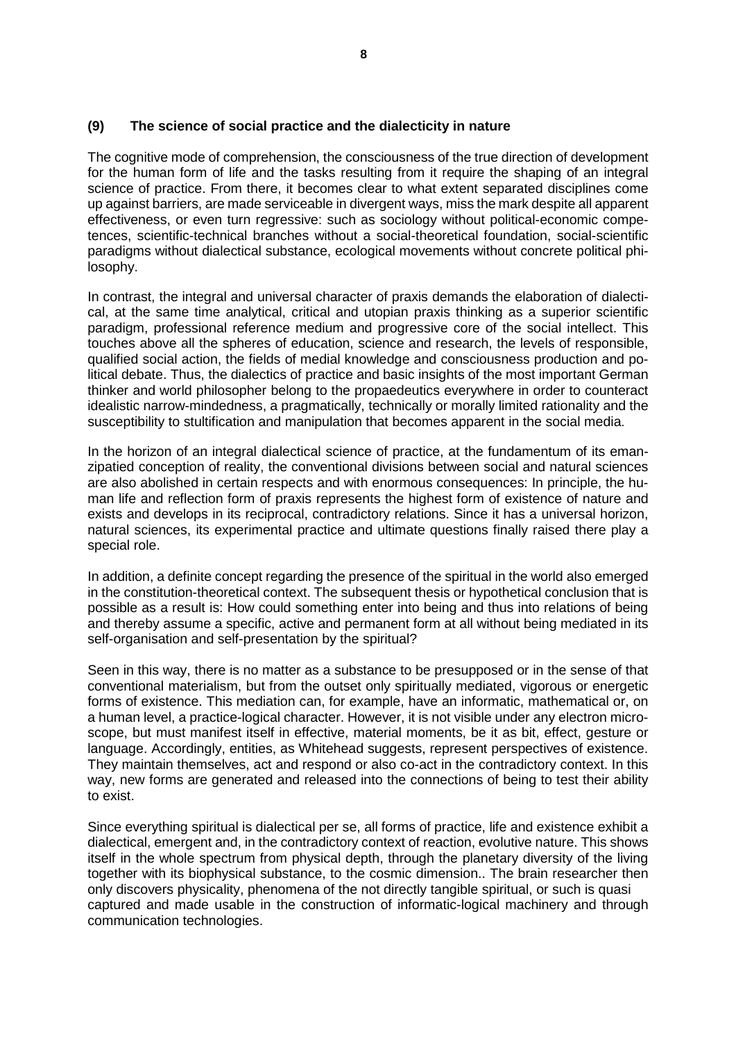## **(9) The science of social practice and the dialecticity in nature**

The cognitive mode of comprehension, the consciousness of the true direction of development for the human form of life and the tasks resulting from it require the shaping of an integral science of practice. From there, it becomes clear to what extent separated disciplines come up against barriers, are made serviceable in divergent ways, miss the mark despite all apparent effectiveness, or even turn regressive: such as sociology without political-economic competences, scientific-technical branches without a social-theoretical foundation, social-scientific paradigms without dialectical substance, ecological movements without concrete political philosophy.

In contrast, the integral and universal character of praxis demands the elaboration of dialectical, at the same time analytical, critical and utopian praxis thinking as a superior scientific paradigm, professional reference medium and progressive core of the social intellect. This touches above all the spheres of education, science and research, the levels of responsible, qualified social action, the fields of medial knowledge and consciousness production and political debate. Thus, the dialectics of practice and basic insights of the most important German thinker and world philosopher belong to the propaedeutics everywhere in order to counteract idealistic narrow-mindedness, a pragmatically, technically or morally limited rationality and the susceptibility to stultification and manipulation that becomes apparent in the social media.

In the horizon of an integral dialectical science of practice, at the fundamentum of its emanzipatied conception of reality, the conventional divisions between social and natural sciences are also abolished in certain respects and with enormous consequences: In principle, the human life and reflection form of praxis represents the highest form of existence of nature and exists and develops in its reciprocal, contradictory relations. Since it has a universal horizon, natural sciences, its experimental practice and ultimate questions finally raised there play a special role.

In addition, a definite concept regarding the presence of the spiritual in the world also emerged in the constitution-theoretical context. The subsequent thesis or hypothetical conclusion that is possible as a result is: How could something enter into being and thus into relations of being and thereby assume a specific, active and permanent form at all without being mediated in its self-organisation and self-presentation by the spiritual?

Seen in this way, there is no matter as a substance to be presupposed or in the sense of that conventional materialism, but from the outset only spiritually mediated, vigorous or energetic forms of existence. This mediation can, for example, have an informatic, mathematical or, on a human level, a practice-logical character. However, it is not visible under any electron microscope, but must manifest itself in effective, material moments, be it as bit, effect, gesture or language. Accordingly, entities, as Whitehead suggests, represent perspectives of existence. They maintain themselves, act and respond or also co-act in the contradictory context. In this way, new forms are generated and released into the connections of being to test their ability to exist.

Since everything spiritual is dialectical per se, all forms of practice, life and existence exhibit a dialectical, emergent and, in the contradictory context of reaction, evolutive nature. This shows itself in the whole spectrum from physical depth, through the planetary diversity of the living together with its biophysical substance, to the cosmic dimension.. The brain researcher then only discovers physicality, phenomena of the not directly tangible spiritual, or such is quasi captured and made usable in the construction of informatic-logical machinery and through communication technologies.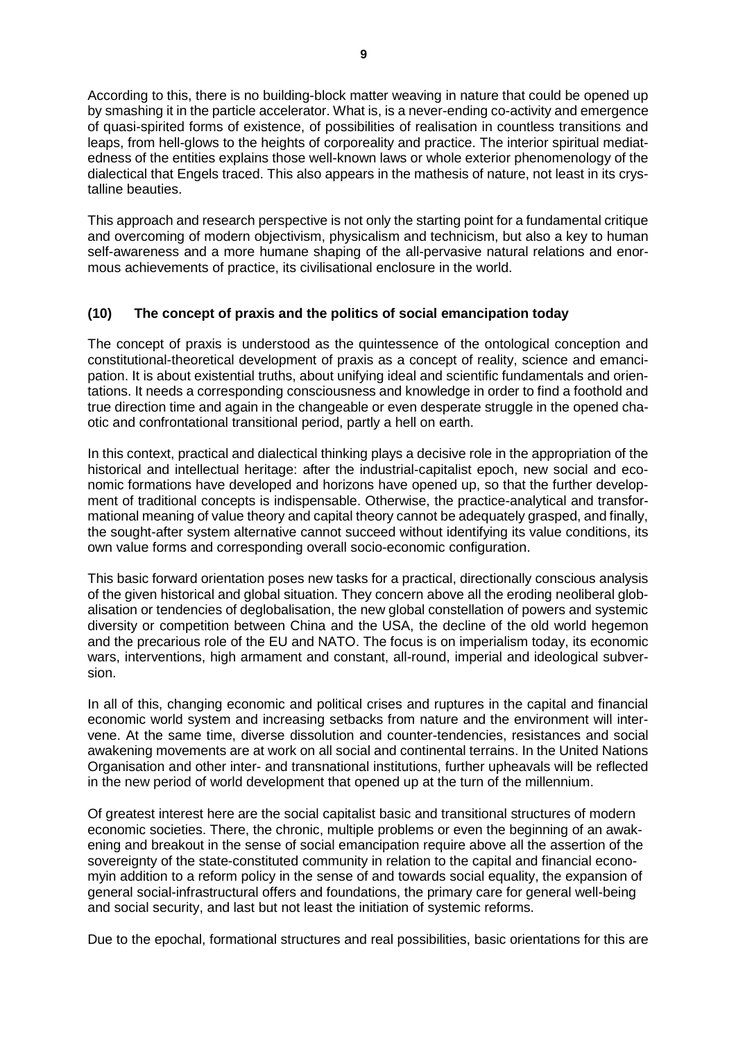According to this, there is no building-block matter weaving in nature that could be opened up by smashing it in the particle accelerator. What is, is a never-ending co-activity and emergence of quasi-spirited forms of existence, of possibilities of realisation in countless transitions and leaps, from hell-glows to the heights of corporeality and practice. The interior spiritual mediatedness of the entities explains those well-known laws or whole exterior phenomenology of the dialectical that Engels traced. This also appears in the mathesis of nature, not least in its crystalline beauties.

This approach and research perspective is not only the starting point for a fundamental critique and overcoming of modern objectivism, physicalism and technicism, but also a key to human self-awareness and a more humane shaping of the all-pervasive natural relations and enormous achievements of practice, its civilisational enclosure in the world.

## **(10) The concept of praxis and the politics of social emancipation today**

The concept of praxis is understood as the quintessence of the ontological conception and constitutional-theoretical development of praxis as a concept of reality, science and emancipation. It is about existential truths, about unifying ideal and scientific fundamentals and orientations. It needs a corresponding consciousness and knowledge in order to find a foothold and true direction time and again in the changeable or even desperate struggle in the opened chaotic and confrontational transitional period, partly a hell on earth.

In this context, practical and dialectical thinking plays a decisive role in the appropriation of the historical and intellectual heritage: after the industrial-capitalist epoch, new social and economic formations have developed and horizons have opened up, so that the further development of traditional concepts is indispensable. Otherwise, the practice-analytical and transformational meaning of value theory and capital theory cannot be adequately grasped, and finally, the sought-after system alternative cannot succeed without identifying its value conditions, its own value forms and corresponding overall socio-economic configuration.

This basic forward orientation poses new tasks for a practical, directionally conscious analysis of the given historical and global situation. They concern above all the eroding neoliberal globalisation or tendencies of deglobalisation, the new global constellation of powers and systemic diversity or competition between China and the USA, the decline of the old world hegemon and the precarious role of the EU and NATO. The focus is on imperialism today, its economic wars, interventions, high armament and constant, all-round, imperial and ideological subversion.

In all of this, changing economic and political crises and ruptures in the capital and financial economic world system and increasing setbacks from nature and the environment will intervene. At the same time, diverse dissolution and counter-tendencies, resistances and social awakening movements are at work on all social and continental terrains. In the United Nations Organisation and other inter- and transnational institutions, further upheavals will be reflected in the new period of world development that opened up at the turn of the millennium.

Of greatest interest here are the social capitalist basic and transitional structures of modern economic societies. There, the chronic, multiple problems or even the beginning of an awakening and breakout in the sense of social emancipation require above all the assertion of the sovereignty of the state-constituted community in relation to the capital and financial economyin addition to a reform policy in the sense of and towards social equality, the expansion of general social-infrastructural offers and foundations, the primary care for general well-being and social security, and last but not least the initiation of systemic reforms.

Due to the epochal, formational structures and real possibilities, basic orientations for this are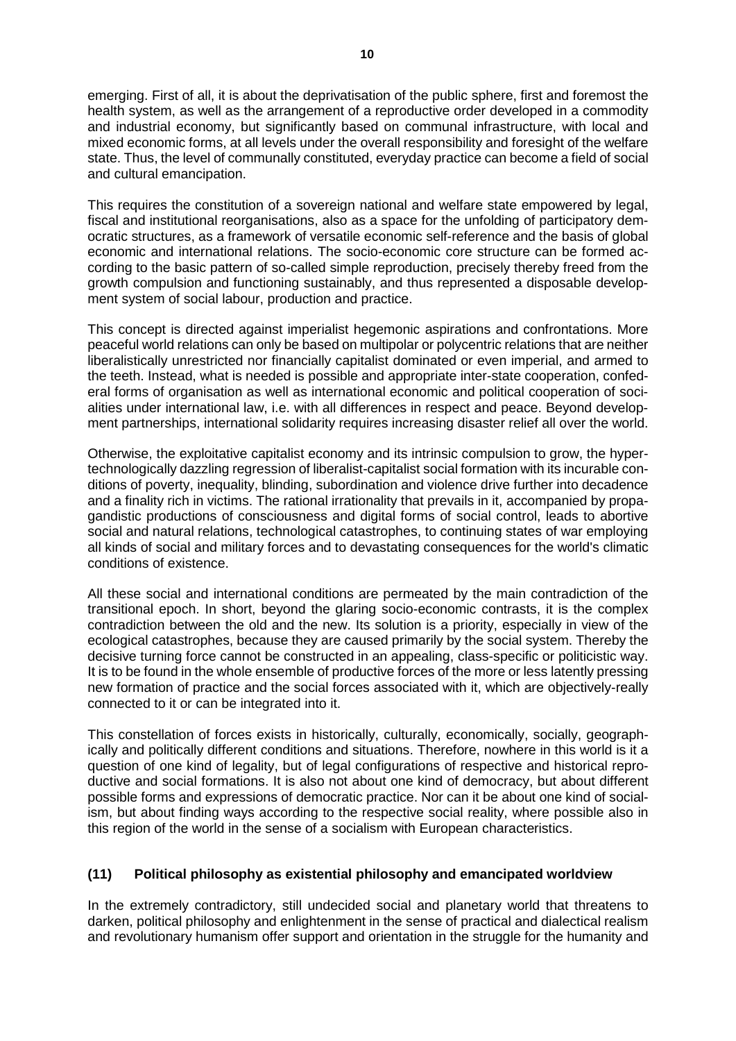emerging. First of all, it is about the deprivatisation of the public sphere, first and foremost the

health system, as well as the arrangement of a reproductive order developed in a commodity and industrial economy, but significantly based on communal infrastructure, with local and mixed economic forms, at all levels under the overall responsibility and foresight of the welfare state. Thus, the level of communally constituted, everyday practice can become a field of social and cultural emancipation.

This requires the constitution of a sovereign national and welfare state empowered by legal, fiscal and institutional reorganisations, also as a space for the unfolding of participatory democratic structures, as a framework of versatile economic self-reference and the basis of global economic and international relations. The socio-economic core structure can be formed according to the basic pattern of so-called simple reproduction, precisely thereby freed from the growth compulsion and functioning sustainably, and thus represented a disposable development system of social labour, production and practice.

This concept is directed against imperialist hegemonic aspirations and confrontations. More peaceful world relations can only be based on multipolar or polycentric relations that are neither liberalistically unrestricted nor financially capitalist dominated or even imperial, and armed to the teeth. Instead, what is needed is possible and appropriate inter-state cooperation, confederal forms of organisation as well as international economic and political cooperation of socialities under international law, i.e. with all differences in respect and peace. Beyond development partnerships, international solidarity requires increasing disaster relief all over the world.

Otherwise, the exploitative capitalist economy and its intrinsic compulsion to grow, the hypertechnologically dazzling regression of liberalist-capitalist social formation with its incurable conditions of poverty, inequality, blinding, subordination and violence drive further into decadence and a finality rich in victims. The rational irrationality that prevails in it, accompanied by propagandistic productions of consciousness and digital forms of social control, leads to abortive social and natural relations, technological catastrophes, to continuing states of war employing all kinds of social and military forces and to devastating consequences for the world's climatic conditions of existence.

All these social and international conditions are permeated by the main contradiction of the transitional epoch. In short, beyond the glaring socio-economic contrasts, it is the complex contradiction between the old and the new. Its solution is a priority, especially in view of the ecological catastrophes, because they are caused primarily by the social system. Thereby the decisive turning force cannot be constructed in an appealing, class-specific or politicistic way. It is to be found in the whole ensemble of productive forces of the more or less latently pressing new formation of practice and the social forces associated with it, which are objectively-really connected to it or can be integrated into it.

This constellation of forces exists in historically, culturally, economically, socially, geographically and politically different conditions and situations. Therefore, nowhere in this world is it a question of one kind of legality, but of legal configurations of respective and historical reproductive and social formations. It is also not about one kind of democracy, but about different possible forms and expressions of democratic practice. Nor can it be about one kind of socialism, but about finding ways according to the respective social reality, where possible also in this region of the world in the sense of a socialism with European characteristics.

# **(11) Political philosophy as existential philosophy and emancipated worldview**

In the extremely contradictory, still undecided social and planetary world that threatens to darken, political philosophy and enlightenment in the sense of practical and dialectical realism and revolutionary humanism offer support and orientation in the struggle for the humanity and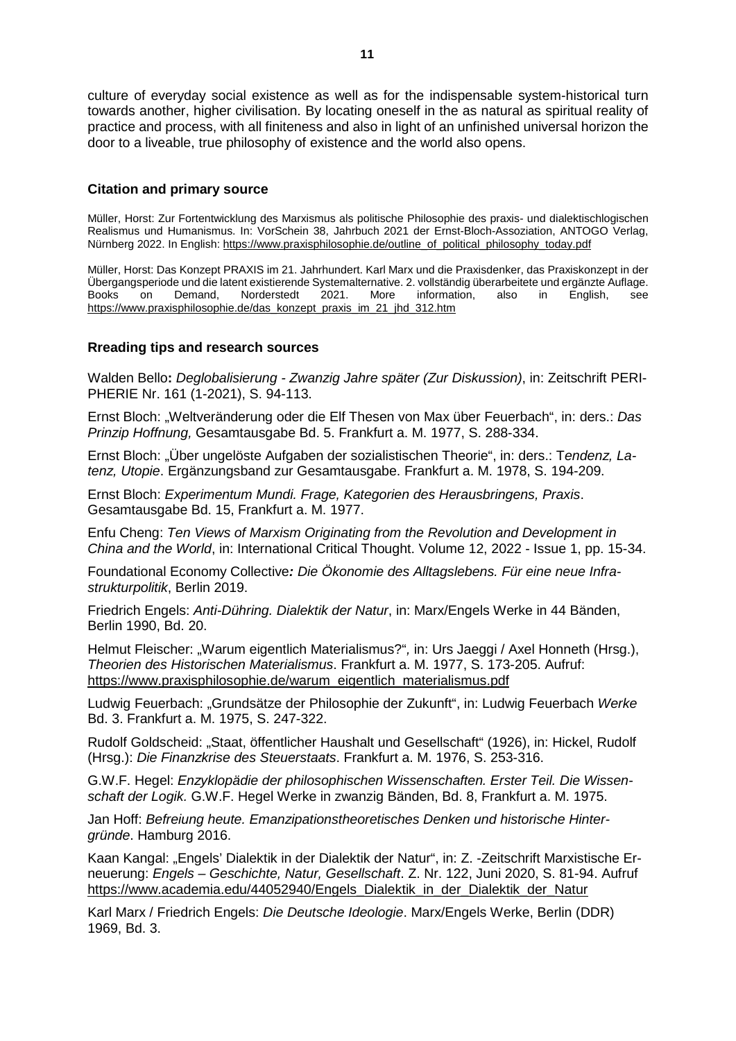culture of everyday social existence as well as for the indispensable system-historical turn towards another, higher civilisation. By locating oneself in the as natural as spiritual reality of practice and process, with all finiteness and also in light of an unfinished universal horizon the door to a liveable, true philosophy of existence and the world also opens.

#### **Citation and primary source**

Müller, Horst: Zur Fortentwicklung des Marxismus als politische Philosophie des praxis- und dialektischlogischen Realismus und Humanismus. In: VorSchein 38, Jahrbuch 2021 der Ernst-Bloch-Assoziation, ANTOGO Verlag, Nürnberg 2022. In English: [https://www.praxisphilosophie.de/outline\\_of\\_political\\_philosophy\\_today.pdf](https://www.praxisphilosophie.de/outline_of_political_philosophy_today.pdf)

Müller, Horst: Das Konzept PRAXIS im 21. Jahrhundert. Karl Marx und die Praxisdenker, das Praxiskonzept in der Übergangsperiode und die latent existierende Systemalternative. 2. vollständig überarbeitete und ergänzte Auflage. Books on Demand, Norderstedt 2021. More information, also in English, see [https://www.praxisphilosophie.de/das\\_konzept\\_praxis\\_im\\_21\\_jhd\\_312.htm](https://www.praxisphilosophie.de/das_konzept_praxis_im_21_jhd_312.htm)

#### **Rreading tips and research sources**

Walden Bello**:** *Deglobalisierung - Zwanzig Jahre später (Zur Diskussion)*, in: Zeitschrift PERI-PHERIE Nr. 161 (1-2021), S. 94-113.

Ernst Bloch: "Weltveränderung oder die Elf Thesen von Max über Feuerbach", in: ders.: *Das Prinzip Hoffnung,* Gesamtausgabe Bd. 5. Frankfurt a. M. 1977, S. 288-334.

Ernst Bloch: "Über ungelöste Aufgaben der sozialistischen Theorie", in: ders.: Tendenz, La*tenz, Utopie*. Ergänzungsband zur Gesamtausgabe. Frankfurt a. M. 1978, S. 194-209.

Ernst Bloch: *Experimentum Mundi. Frage, Kategorien des Herausbringens, Praxis*. Gesamtausgabe Bd. 15, Frankfurt a. M. 1977.

Enfu Cheng: *Ten Views of Marxism Originating from the Revolution and Development in China and the World*, in: International Critical Thought. Volume 12, 2022 - Issue 1, pp. 15-34.

Foundational Economy Collective*: Die Ökonomie des Alltagslebens. Für eine neue Infrastrukturpolitik*, Berlin 2019.

Friedrich Engels: *Anti-Dühring. Dialektik der Natur*, in: Marx/Engels Werke in 44 Bänden, Berlin 1990, Bd. 20.

Helmut Fleischer: "Warum eigentlich Materialismus?", in: Urs Jaeggi / Axel Honneth (Hrsg.), *Theorien des Historischen Materialismus*. Frankfurt a. M. 1977, S. 173-205. Aufruf: [https://www.praxisphilosophie.de/warum\\_eigentlich\\_materialismus.pdf](https://www.praxisphilosophie.de/warum_eigentlich_materialismus.pdf)

Ludwig Feuerbach: "Grundsätze der Philosophie der Zukunft", in: Ludwig Feuerbach *Werke* Bd. 3. Frankfurt a. M. 1975, S. 247-322.

Rudolf Goldscheid: "Staat, öffentlicher Haushalt und Gesellschaft" (1926), in: Hickel, Rudolf (Hrsg.): *Die Finanzkrise des Steuerstaats*. Frankfurt a. M. 1976, S. 253-316.

G.W.F. Hegel: *Enzyklopädie der philosophischen Wissenschaften. Erster Teil. Die Wissenschaft der Logik.* G.W.F. Hegel Werke in zwanzig Bänden, Bd. 8, Frankfurt a. M. 1975.

Jan Hoff: *Befreiung heute. Emanzipationstheoretisches Denken und historische Hintergründe*. Hamburg 2016.

Kaan Kangal: "Engels' Dialektik in der Dialektik der Natur", in: Z. -Zeitschrift Marxistische Erneuerung: *Engels – Geschichte, Natur, Gesellschaft*. Z. Nr. 122, Juni 2020, S. 81-94. Aufruf [https://www.academia.edu/44052940/Engels\\_Dialektik\\_in\\_der\\_Dialektik\\_der\\_Natur](https://www.academia.edu/44052940/Engels_Dialektik_in_der_Dialektik_der_Natur) 

Karl Marx / Friedrich Engels: *Die Deutsche Ideologie*. Marx/Engels Werke, Berlin (DDR) 1969, Bd. 3.